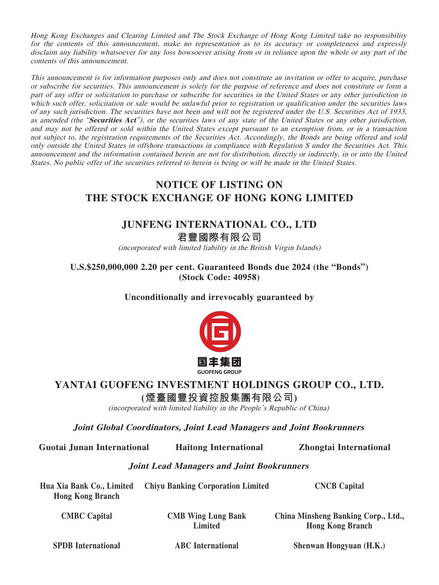Hong Kong Exchanges and Clearing Limited and The Stock Exchange of Hong Kong Limited take no responsibility for the contents of this announcement, make no representation as to its accuracy or completeness and expressly disclaim any liability whatsoever for any loss howsoever arising from or in reliance upon the whole or any part of the contents of this announcement.

This announcement is for information purposes only and does not constitute an invitation or offer to acquire, purchase or subscribe for securities. This announcement is solely for the purpose of reference and does not constitute or form a part of any offer or solicitation to purchase or subscribe for securities in the United States or any other jurisdiction in which such offer, solicitation or sale would be unlawful prior to registration or qualification under the securities laws of any such jurisdiction. The securities have not been and will not be registered under the U.S. Securities Act of 1933, as amended (the "**Securities Act**"), or the securities laws of any state of the United States or any other jurisdiction, and may not be offered or sold within the United States except pursuant to an exemption from, or in a transaction not subject to, the registration requirements of the Securities Act. Accordingly, the Bonds are being offered and sold only outside the United States in offshore transactions in compliance with Regulation S under the Securities Act. This announcement and the information contained herein are not for distribution, directly or indirectly, in or into the United States. No public offer of the securities referred to herein is being or will be made in the United States.

## **NOTICE OF LISTING ON THE STOCK EXCHANGE OF HONG KONG LIMITED**

## **JUNFENG INTERNATIONAL CO., LTD**

**君豐國際有限公司** (incorporated with limited liability in the British Virgin Islands)

**U.S.\$250,000,000 2.20 per cent. Guaranteed Bonds due 2024 (the "Bonds") (Stock Code: 40958)**

**Unconditionally and irrevocably guaranteed by**



## **YANTAI GUOFENG INVESTMENT HOLDINGS GROUP CO., LTD.**

**(煙臺國豐投資控股集團有限公司)**

(incorporated with limited liability in the People's Republic of China)

**Joint Global Coordinators, Joint Lead Managers and Joint Bookrunners**

**Guotai Junan International Haitong International Zhongtai International**

## **Joint Lead Managers and Joint Bookrunners**

**Hua Xia Bank Co., Limited Hong Kong Branch Chiyu Banking Corporation Limited CNCB Capital**

**CMBC Capital CMB Wing Lung Bank Limited**

**China Minsheng Banking Corp., Ltd., Hong Kong Branch**

**SPDB International ABC International Shenwan Hongyuan (H.K.)**